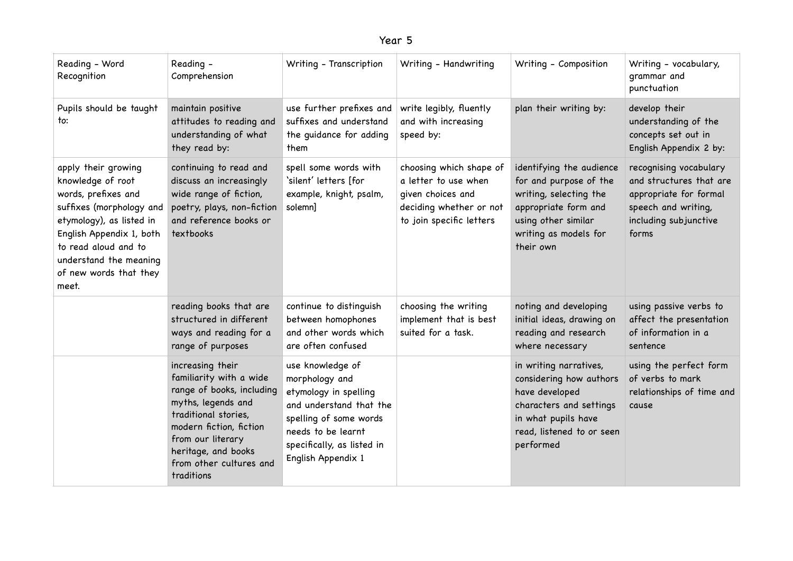| - |  |
|---|--|
|---|--|

| Reading - Word<br>Recognition                                                                                                                                                                                                            | Reading -<br>Comprehension                                                                                                                                                                                                             | Writing - Transcription                                                                                                                                                                    | Writing - Handwriting                                                                                                       | Writing - Composition                                                                                                                                             | Writing - vocabulary,<br>grammar and<br>punctuation                                                                                  |
|------------------------------------------------------------------------------------------------------------------------------------------------------------------------------------------------------------------------------------------|----------------------------------------------------------------------------------------------------------------------------------------------------------------------------------------------------------------------------------------|--------------------------------------------------------------------------------------------------------------------------------------------------------------------------------------------|-----------------------------------------------------------------------------------------------------------------------------|-------------------------------------------------------------------------------------------------------------------------------------------------------------------|--------------------------------------------------------------------------------------------------------------------------------------|
| Pupils should be taught<br>to:                                                                                                                                                                                                           | maintain positive<br>attitudes to reading and<br>understanding of what<br>they read by:                                                                                                                                                | use further prefixes and<br>suffixes and understand<br>the guidance for adding<br>them                                                                                                     | write legibly, fluently<br>and with increasing<br>speed by:                                                                 | plan their writing by:                                                                                                                                            | develop their<br>understanding of the<br>concepts set out in<br>English Appendix 2 by:                                               |
| apply their growing<br>knowledge of root<br>words, prefixes and<br>suffixes (morphology and<br>etymology), as listed in<br>English Appendix 1, both<br>to read aloud and to<br>understand the meaning<br>of new words that they<br>meet. | continuing to read and<br>discuss an increasingly<br>wide range of fiction,<br>poetry, plays, non-fiction<br>and reference books or<br>textbooks                                                                                       | spell some words with<br>'silent' letters [for<br>example, knight, psalm,<br>solemn]                                                                                                       | choosing which shape of<br>a letter to use when<br>given choices and<br>deciding whether or not<br>to join specific letters | identifying the audience<br>for and purpose of the<br>writing, selecting the<br>appropriate form and<br>using other similar<br>writing as models for<br>their own | recognising vocabulary<br>and structures that are<br>appropriate for formal<br>speech and writing,<br>including subjunctive<br>forms |
|                                                                                                                                                                                                                                          | reading books that are<br>structured in different<br>ways and reading for a<br>range of purposes                                                                                                                                       | continue to distinguish<br>between homophones<br>and other words which<br>are often confused                                                                                               | choosing the writing<br>implement that is best<br>suited for a task.                                                        | noting and developing<br>initial ideas, drawing on<br>reading and research<br>where necessary                                                                     | using passive verbs to<br>affect the presentation<br>of information in a<br>sentence                                                 |
|                                                                                                                                                                                                                                          | increasing their<br>familiarity with a wide<br>range of books, including<br>myths, legends and<br>traditional stories,<br>modern fiction, fiction<br>from our literary<br>heritage, and books<br>from other cultures and<br>traditions | use knowledge of<br>morphology and<br>etymology in spelling<br>and understand that the<br>spelling of some words<br>needs to be learnt<br>specifically, as listed in<br>English Appendix 1 |                                                                                                                             | in writing narratives,<br>considering how authors<br>have developed<br>characters and settings<br>in what pupils have<br>read, listened to or seen<br>performed   | using the perfect form<br>of verbs to mark<br>relationships of time and<br>cause                                                     |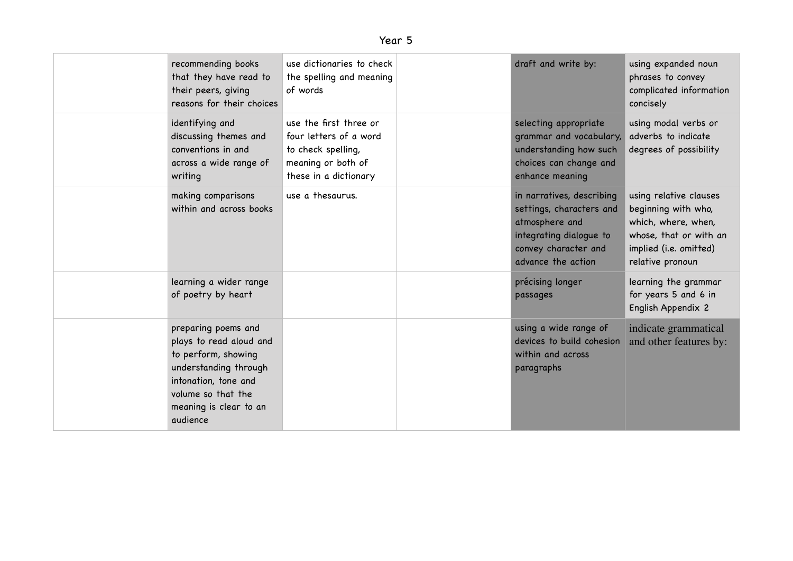| recommending books<br>that they have read to<br>their peers, giving<br>reasons for their choices                                                                                   | use dictionaries to check<br>the spelling and meaning<br>of words                                                     | draft and write by:                                                                                                                              | using expanded noun<br>phrases to convey<br>complicated information<br>concisely                                                             |
|------------------------------------------------------------------------------------------------------------------------------------------------------------------------------------|-----------------------------------------------------------------------------------------------------------------------|--------------------------------------------------------------------------------------------------------------------------------------------------|----------------------------------------------------------------------------------------------------------------------------------------------|
| identifying and<br>discussing themes and<br>conventions in and<br>across a wide range of<br>writing                                                                                | use the first three or<br>four letters of a word<br>to check spelling,<br>meaning or both of<br>these in a dictionary | selecting appropriate<br>grammar and vocabulary,<br>understanding how such<br>choices can change and<br>enhance meaning                          | using modal verbs or<br>adverbs to indicate<br>degrees of possibility                                                                        |
| making comparisons<br>within and across books                                                                                                                                      | use a thesaurus.                                                                                                      | in narratives, describing<br>settings, characters and<br>atmosphere and<br>integrating dialogue to<br>convey character and<br>advance the action | using relative clauses<br>beginning with who,<br>which, where, when,<br>whose, that or with an<br>implied (i.e. omitted)<br>relative pronoun |
| learning a wider range<br>of poetry by heart                                                                                                                                       |                                                                                                                       | précising longer<br>passages                                                                                                                     | learning the grammar<br>for years 5 and 6 in<br>English Appendix 2                                                                           |
| preparing poems and<br>plays to read aloud and<br>to perform, showing<br>understanding through<br>intonation, tone and<br>volume so that the<br>meaning is clear to an<br>audience |                                                                                                                       | using a wide range of<br>devices to build cohesion<br>within and across<br>paragraphs                                                            | indicate grammatical<br>and other features by:                                                                                               |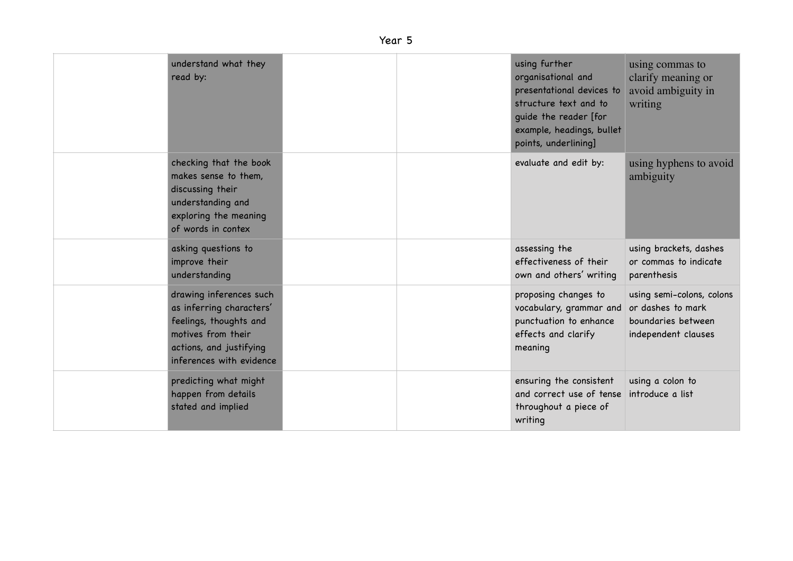## Year 5

| understand what they<br>read by:                                                                                                                           |  | using further<br>organisational and<br>presentational devices to<br>structure text and to<br>guide the reader [for<br>example, headings, bullet<br>points, underlining] | using commas to<br>clarify meaning or<br>avoid ambiguity in<br>writing                      |
|------------------------------------------------------------------------------------------------------------------------------------------------------------|--|-------------------------------------------------------------------------------------------------------------------------------------------------------------------------|---------------------------------------------------------------------------------------------|
| checking that the book<br>makes sense to them,<br>discussing their<br>understanding and<br>exploring the meaning<br>of words in contex                     |  | evaluate and edit by:                                                                                                                                                   | using hyphens to avoid<br>ambiguity                                                         |
| asking questions to<br>improve their<br>understanding                                                                                                      |  | assessing the<br>effectiveness of their<br>own and others' writing                                                                                                      | using brackets, dashes<br>or commas to indicate<br>parenthesis                              |
| drawing inferences such<br>as inferring characters'<br>feelings, thoughts and<br>motives from their<br>actions, and justifying<br>inferences with evidence |  | proposing changes to<br>vocabulary, grammar and<br>punctuation to enhance<br>effects and clarify<br>meaning                                                             | using semi-colons, colons<br>or dashes to mark<br>boundaries between<br>independent clauses |
| predicting what might<br>happen from details<br>stated and implied                                                                                         |  | ensuring the consistent<br>and correct use of tense<br>throughout a piece of<br>writing                                                                                 | using a colon to<br>introduce a list                                                        |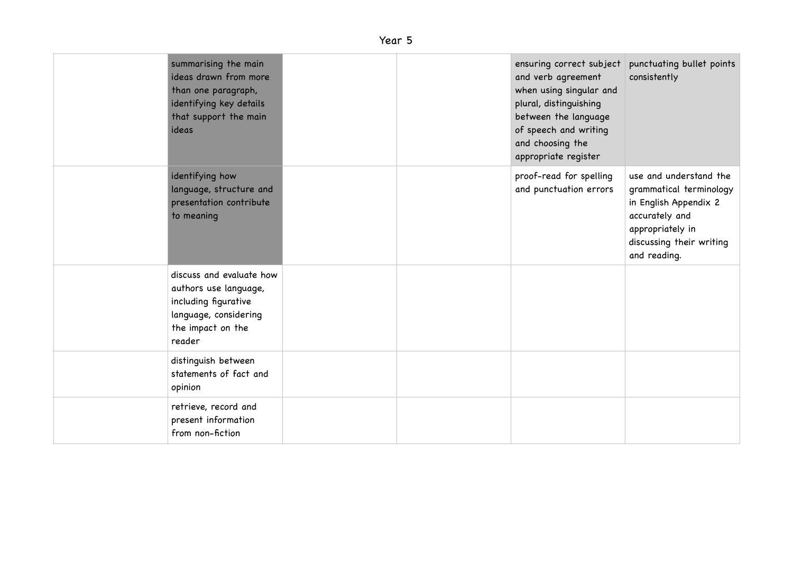## Year 5

| summarising the main<br>ideas drawn from more<br>than one paragraph,<br>identifying key details<br>that support the main<br>ideas |  | ensuring correct subject<br>and verb agreement<br>when using singular and<br>plural, distinguishing<br>between the language<br>of speech and writing<br>and choosing the<br>appropriate register | punctuating bullet points<br>consistently                                                                                                                    |
|-----------------------------------------------------------------------------------------------------------------------------------|--|--------------------------------------------------------------------------------------------------------------------------------------------------------------------------------------------------|--------------------------------------------------------------------------------------------------------------------------------------------------------------|
| identifying how<br>language, structure and<br>presentation contribute<br>to meaning                                               |  | proof-read for spelling<br>and punctuation errors                                                                                                                                                | use and understand the<br>grammatical terminology<br>in English Appendix 2<br>accurately and<br>appropriately in<br>discussing their writing<br>and reading. |
| discuss and evaluate how<br>authors use language,<br>including figurative<br>language, considering<br>the impact on the<br>reader |  |                                                                                                                                                                                                  |                                                                                                                                                              |
| distinguish between<br>statements of fact and<br>opinion                                                                          |  |                                                                                                                                                                                                  |                                                                                                                                                              |
| retrieve, record and<br>present information<br>from non-fiction                                                                   |  |                                                                                                                                                                                                  |                                                                                                                                                              |